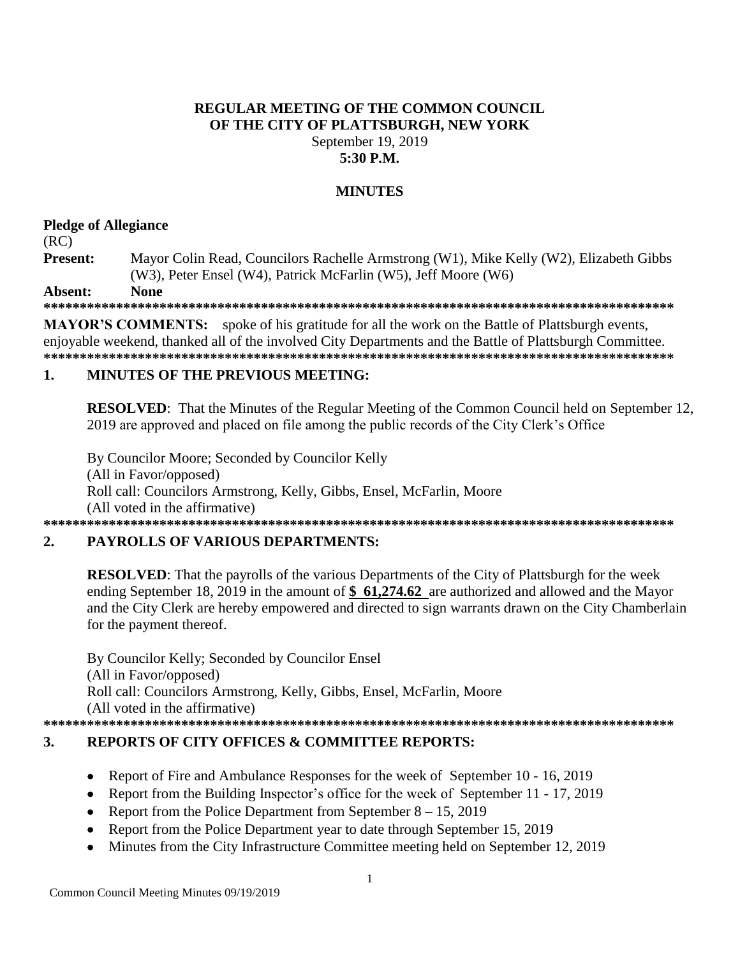# **REGULAR MEETING OF THE COMMON COUNCIL** OF THE CITY OF PLATTSBURGH, NEW YORK September 19, 2019 5:30 P.M.

# **MINUTES**

### **Pledge of Allegiance**

### $(RC)$

Mayor Colin Read, Councilors Rachelle Armstrong (W1), Mike Kelly (W2), Elizabeth Gibbs Present: (W3), Peter Ensel (W4), Patrick McFarlin (W5), Jeff Moore (W6)

**None** Absent:

**MAYOR'S COMMENTS:** spoke of his gratitude for all the work on the Battle of Plattsburgh events, eniovable weekend, thanked all of the involved City Departments and the Battle of Plattsburgh Committee. 

#### **MINUTES OF THE PREVIOUS MEETING:**  $\mathbf{1}$

**RESOLVED:** That the Minutes of the Regular Meeting of the Common Council held on September 12, 2019 are approved and placed on file among the public records of the City Clerk's Office

By Councilor Moore: Seconded by Councilor Kelly (All in Favor/opposed) Roll call: Councilors Armstrong, Kelly, Gibbs, Ensel, McFarlin, Moore (All voted in the affirmative) 

#### $2.$ **PAYROLLS OF VARIOUS DEPARTMENTS:**

**RESOLVED:** That the payrolls of the various Departments of the City of Plattsburgh for the week ending September 18, 2019 in the amount of  $$61,274.62$  are authorized and allowed and the Mayor and the City Clerk are hereby empowered and directed to sign warrants drawn on the City Chamberlain for the payment thereof.

By Councilor Kelly; Seconded by Councilor Ensel (All in Favor/opposed) Roll call: Councilors Armstrong, Kelly, Gibbs, Ensel, McFarlin, Moore (All voted in the affirmative) 

#### $3.$ **REPORTS OF CITY OFFICES & COMMITTEE REPORTS:**

- Report of Fire and Ambulance Responses for the week of September 10 16, 2019  $\bullet$
- Report from the Building Inspector's office for the week of September 11 17, 2019
- Report from the Police Department from September  $8 15$ , 2019
- Report from the Police Department year to date through September 15, 2019
- Minutes from the City Infrastructure Committee meeting held on September 12, 2019  $\bullet$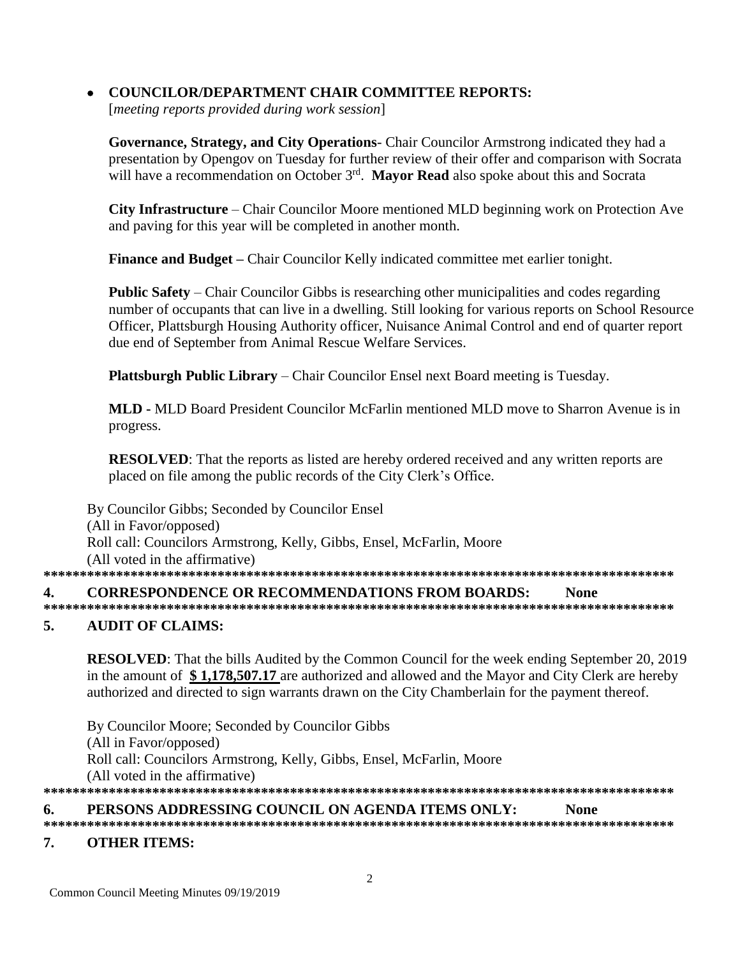# **COUNCILOR/DEPARTMENT CHAIR COMMITTEE REPORTS:**

[meeting reports provided during work session]

Governance, Strategy, and City Operations- Chair Councilor Armstrong indicated they had a presentation by Opengov on Tuesday for further review of their offer and comparison with Socrata will have a recommendation on October  $3^{rd}$ . Mavor Read also spoke about this and Socrata

City Infrastructure – Chair Councilor Moore mentioned MLD beginning work on Protection Ave and paving for this year will be completed in another month.

Finance and Budget - Chair Councilor Kelly indicated committee met earlier tonight.

**Public Safety** – Chair Councilor Gibbs is researching other municipalities and codes regarding number of occupants that can live in a dwelling. Still looking for various reports on School Resource Officer, Plattsburgh Housing Authority officer, Nuisance Animal Control and end of quarter report due end of September from Animal Rescue Welfare Services.

**Plattsburgh Public Library** – Chair Councilor Ensel next Board meeting is Tuesday.

MLD - MLD Board President Councilor McFarlin mentioned MLD move to Sharron Avenue is in progress.

**RESOLVED:** That the reports as listed are hereby ordered received and any written reports are placed on file among the public records of the City Clerk's Office.

By Councilor Gibbs; Seconded by Councilor Ensel (All in Favor/opposed) Roll call: Councilors Armstrong, Kelly, Gibbs, Ensel, McFarlin, Moore (All voted in the affirmative) 4. **CORRESPONDENCE OR RECOMMENDATIONS FROM BOARDS: None** 

#### 5. **AUDIT OF CLAIMS:**

**RESOLVED:** That the bills Audited by the Common Council for the week ending September 20, 2019 in the amount of \$1,178,507.17 are authorized and allowed and the Mayor and City Clerk are hereby authorized and directed to sign warrants drawn on the City Chamberlain for the payment thereof.

By Councilor Moore; Seconded by Councilor Gibbs (All in Favor/opposed) Roll call: Councilors Armstrong, Kelly, Gibbs, Ensel, McFarlin, Moore (All voted in the affirmative) 

PERSONS ADDRESSING COUNCIL ON AGENDA ITEMS ONLY: 6. **None** 

#### $7<sub>1</sub>$ **OTHER ITEMS:**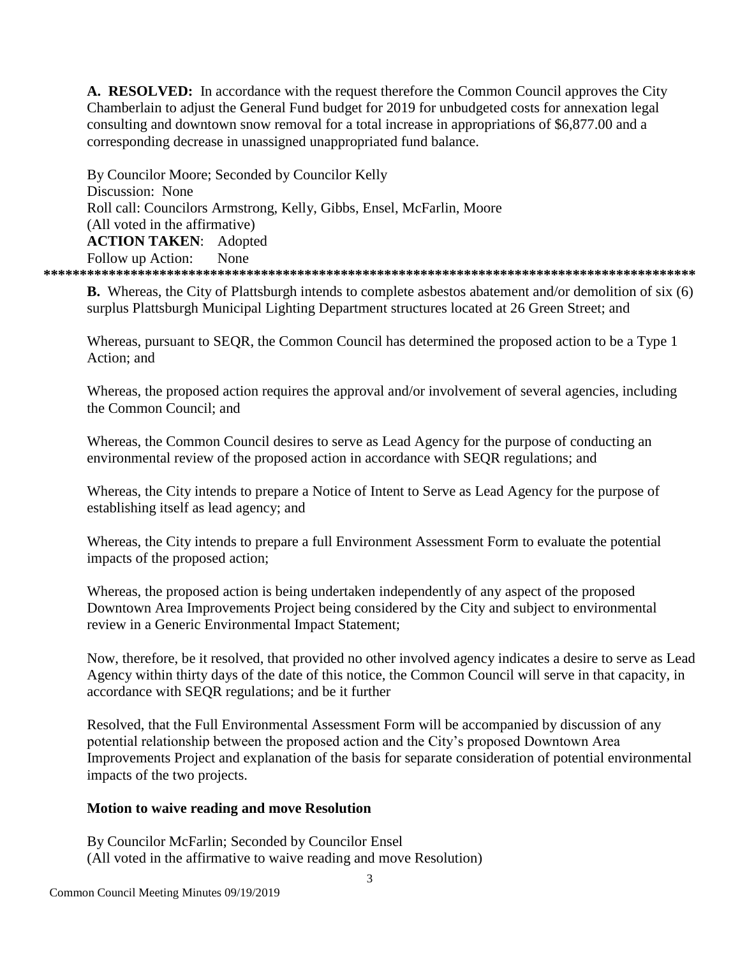A. RESOLVED: In accordance with the request therefore the Common Council approves the City Chamberlain to adjust the General Fund budget for 2019 for unbudgeted costs for annexation legal consulting and downtown snow removal for a total increase in appropriations of \$6,877.00 and a corresponding decrease in unassigned unappropriated fund balance.

By Councilor Moore: Seconded by Councilor Kelly Discussion: None Roll call: Councilors Armstrong, Kelly, Gibbs, Ensel, McFarlin, Moore (All voted in the affirmative) **ACTION TAKEN: Adopted** Follow up Action: None 

**B.** Whereas, the City of Plattsburgh intends to complete asbestos abatement and/or demolition of six (6) surplus Plattsburgh Municipal Lighting Department structures located at 26 Green Street; and

Whereas, pursuant to SEQR, the Common Council has determined the proposed action to be a Type 1 Action: and

Whereas, the proposed action requires the approval and/or involvement of several agencies, including the Common Council: and

Whereas, the Common Council desires to serve as Lead Agency for the purpose of conducting an environmental review of the proposed action in accordance with SEOR regulations; and

Whereas, the City intends to prepare a Notice of Intent to Serve as Lead Agency for the purpose of establishing itself as lead agency; and

Whereas, the City intends to prepare a full Environment Assessment Form to evaluate the potential impacts of the proposed action;

Whereas, the proposed action is being undertaken independently of any aspect of the proposed Downtown Area Improvements Project being considered by the City and subject to environmental review in a Generic Environmental Impact Statement;

Now, therefore, be it resolved, that provided no other involved agency indicates a desire to serve as Lead Agency within thirty days of the date of this notice, the Common Council will serve in that capacity, in accordance with SEQR regulations; and be it further

Resolved, that the Full Environmental Assessment Form will be accompanied by discussion of any potential relationship between the proposed action and the City's proposed Downtown Area Improvements Project and explanation of the basis for separate consideration of potential environmental impacts of the two projects.

### Motion to waive reading and move Resolution

By Councilor McFarlin; Seconded by Councilor Ensel (All voted in the affirmative to waive reading and move Resolution)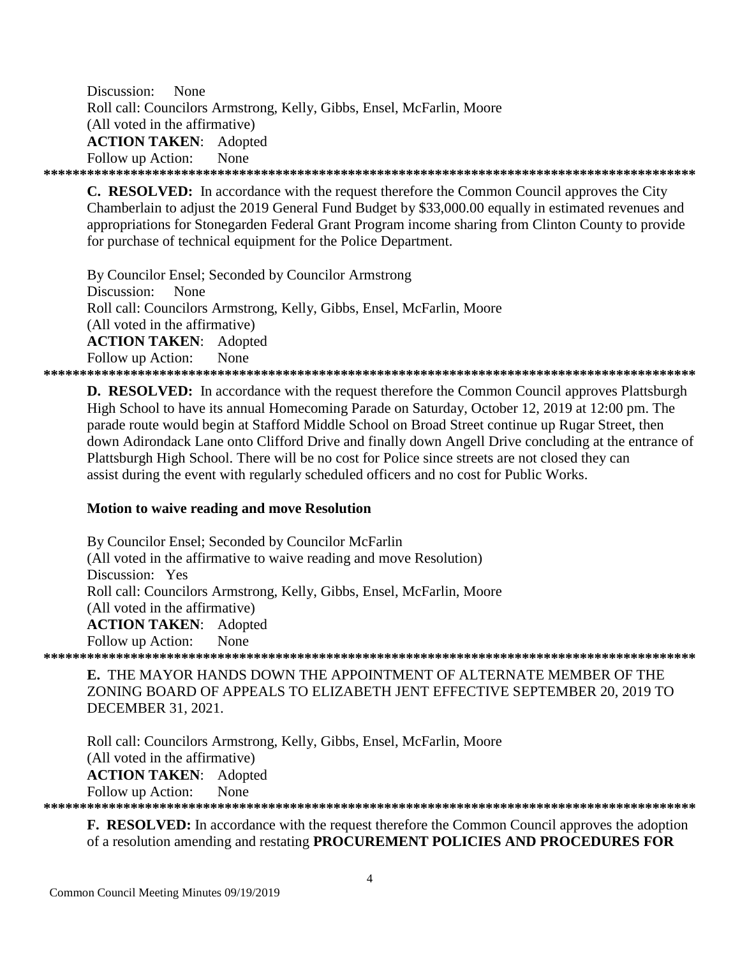Discussion: None Roll call: Councilors Armstrong, Kelly, Gibbs, Ensel, McFarlin, Moore (All voted in the affirmative) **ACTION TAKEN: Adopted** Follow up Action: None

**C. RESOLVED:** In accordance with the request therefore the Common Council approves the City Chamberlain to adjust the 2019 General Fund Budget by \$33,000.00 equally in estimated revenues and appropriations for Stonegarden Federal Grant Program income sharing from Clinton County to provide for purchase of technical equipment for the Police Department.

By Councilor Ensel; Seconded by Councilor Armstrong Discussion: None Roll call: Councilors Armstrong, Kelly, Gibbs, Ensel, McFarlin, Moore (All voted in the affirmative) **ACTION TAKEN: Adopted** Follow up Action: **None** 

**D. RESOLVED:** In accordance with the request therefore the Common Council approves Plattsburgh High School to have its annual Homecoming Parade on Saturday, October 12, 2019 at 12:00 pm. The parade route would begin at Stafford Middle School on Broad Street continue up Rugar Street, then down Adirondack Lane onto Clifford Drive and finally down Angell Drive concluding at the entrance of Plattsburgh High School. There will be no cost for Police since streets are not closed they can assist during the event with regularly scheduled officers and no cost for Public Works.

### Motion to waive reading and move Resolution

By Councilor Ensel; Seconded by Councilor McFarlin (All voted in the affirmative to waive reading and move Resolution) Discussion: Yes Roll call: Councilors Armstrong, Kelly, Gibbs, Ensel, McFarlin, Moore (All voted in the affirmative) **ACTION TAKEN: Adopted** Follow up Action: None 

E. THE MAYOR HANDS DOWN THE APPOINTMENT OF ALTERNATE MEMBER OF THE ZONING BOARD OF APPEALS TO ELIZABETH JENT EFFECTIVE SEPTEMBER 20, 2019 TO **DECEMBER 31, 2021.** 

Roll call: Councilors Armstrong, Kelly, Gibbs, Ensel, McFarlin, Moore (All voted in the affirmative) **ACTION TAKEN:** Adopted Follow up Action: None 

**F. RESOLVED:** In accordance with the request therefore the Common Council approves the adoption of a resolution amending and restating PROCUREMENT POLICIES AND PROCEDURES FOR